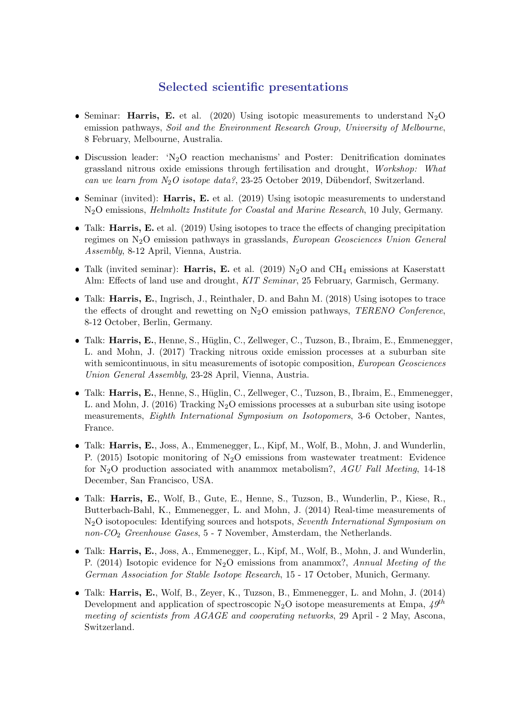## Selected scientific presentations

- Seminar: Harris, E. et al. (2020) Using isotopic measurements to understand  $N_2O$ emission pathways, Soil and the Environment Research Group, University of Melbourne, 8 February, Melbourne, Australia.
- $\bullet$  Discussion leader: 'N<sub>2</sub>O reaction mechanisms' and Poster: Denitrification dominates grassland nitrous oxide emissions through fertilisation and drought, Workshop: What can we learn from  $N_2O$  isotope data?, 23-25 October 2019, Dübendorf, Switzerland.
- Seminar (invited): Harris, E. et al. (2019) Using isotopic measurements to understand N2O emissions, Helmholtz Institute for Coastal and Marine Research, 10 July, Germany.
- Talk: Harris, E. et al. (2019) Using isotopes to trace the effects of changing precipitation regimes on  $N_2O$  emission pathways in grasslands, *European Geosciences Union General* Assembly, 8-12 April, Vienna, Austria.
- Talk (invited seminar): **Harris, E.** et al. (2019)  $N_2O$  and CH<sub>4</sub> emissions at Kaserstatt Alm: Effects of land use and drought, KIT Seminar, 25 February, Garmisch, Germany.
- Talk: Harris, E., Ingrisch, J., Reinthaler, D. and Bahn M. (2018) Using isotopes to trace the effects of drought and rewetting on  $N_2O$  emission pathways, *TERENO Conference*, 8-12 October, Berlin, Germany.
- Talk: Harris, E., Henne, S., Hüglin, C., Zellweger, C., Tuzson, B., Ibraim, E., Emmenegger, L. and Mohn, J. (2017) Tracking nitrous oxide emission processes at a suburban site with semicontinuous, in situ measurements of isotopic composition, *European Geosciences* Union General Assembly, 23-28 April, Vienna, Austria.
- Talk: Harris, E., Henne, S., Hüglin, C., Zellweger, C., Tuzson, B., Ibraim, E., Emmenegger, L. and Mohn, J. (2016) Tracking  $N_2O$  emissions processes at a suburban site using isotope measurements, Eighth International Symposium on Isotopomers, 3-6 October, Nantes, France.
- Talk: Harris, E., Joss, A., Emmenegger, L., Kipf, M., Wolf, B., Mohn, J. and Wunderlin, P. (2015) Isotopic monitoring of  $N_2O$  emissions from wastewater treatment: Evidence for N<sub>2</sub>O production associated with anammox metabolism?, AGU Fall Meeting, 14-18 December, San Francisco, USA.
- Talk: Harris, E., Wolf, B., Gute, E., Henne, S., Tuzson, B., Wunderlin, P., Kiese, R., Butterbach-Bahl, K., Emmenegger, L. and Mohn, J. (2014) Real-time measurements of N2O isotopocules: Identifying sources and hotspots, Seventh International Symposium on non-CO<sub>2</sub> Greenhouse Gases, 5 - 7 November, Amsterdam, the Netherlands.
- Talk: Harris, E., Joss, A., Emmenegger, L., Kipf, M., Wolf, B., Mohn, J. and Wunderlin, P. (2014) Isotopic evidence for  $N_2O$  emissions from anammox?, Annual Meeting of the German Association for Stable Isotope Research, 15 - 17 October, Munich, Germany.
- Talk: Harris, E., Wolf, B., Zeyer, K., Tuzson, B., Emmenegger, L. and Mohn, J. (2014) Development and application of spectroscopic N<sub>2</sub>O isotope measurements at Empa,  $49^{th}$ meeting of scientists from AGAGE and cooperating networks, 29 April - 2 May, Ascona, Switzerland.